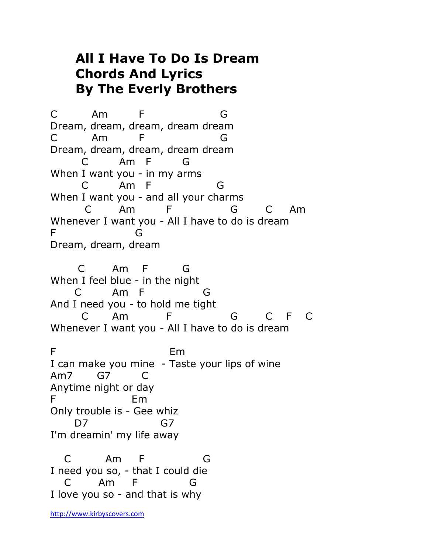## **All I Have To Do Is Dream Chords And Lyrics By The Everly Brothers**

C Am F G Dream, dream, dream, dream dream C Am F G Dream, dream, dream, dream dream C Am F G When I want you - in my arms C Am F G When I want you - and all your charms C Am F G C Am Whenever I want you - All I have to do is dream F G Dream, dream, dream

 C Am F G When I feel blue - in the night C Am F G And I need you - to hold me tight C Am F G C F C Whenever I want you - All I have to do is dream F Em I can make you mine - Taste your lips of wine Am7 G7 C Anytime night or day F Em Only trouble is - Gee whiz D7 G7 I'm dreamin' my life away

 C Am F G I need you so, - that I could die C Am F G I love you so - and that is why